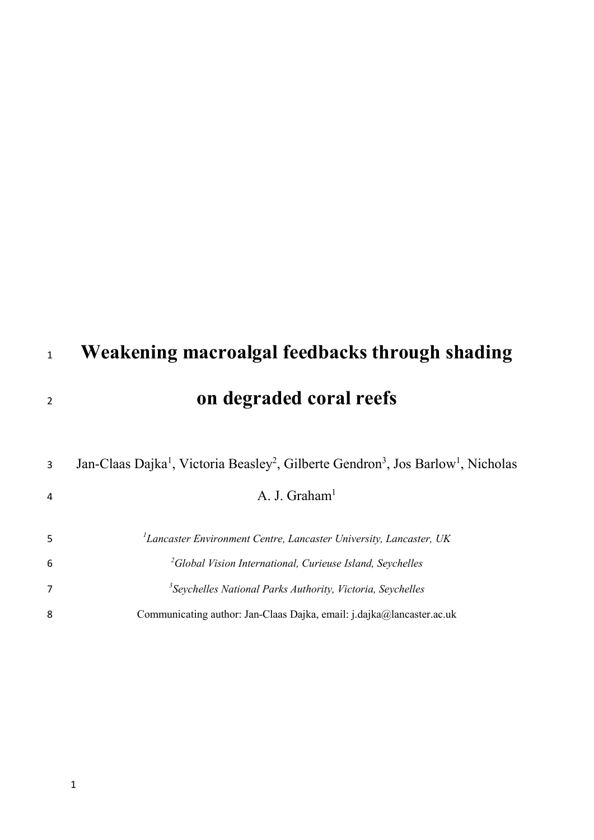| 1              | Weakening macroalgal feedbacks through shading                                                                                                                 |
|----------------|----------------------------------------------------------------------------------------------------------------------------------------------------------------|
| $\overline{2}$ | on degraded coral reefs                                                                                                                                        |
| 3<br>4         | Jan-Claas Dajka <sup>1</sup> , Victoria Beasley <sup>2</sup> , Gilberte Gendron <sup>3</sup> , Jos Barlow <sup>1</sup> , Nicholas<br>A. J. Graham <sup>1</sup> |
| 5              | ${}^{1}$ Lancaster Environment Centre, Lancaster University, Lancaster, UK                                                                                     |
| 6              | <sup>2</sup> Global Vision International, Curieuse Island, Seychelles                                                                                          |
| $\overline{7}$ | <sup>3</sup> Seychelles National Parks Authority, Victoria, Seychelles                                                                                         |
| 8              | Communicating author: Jan-Claas Dajka, email: j.dajka@lancaster.ac.uk                                                                                          |
|                |                                                                                                                                                                |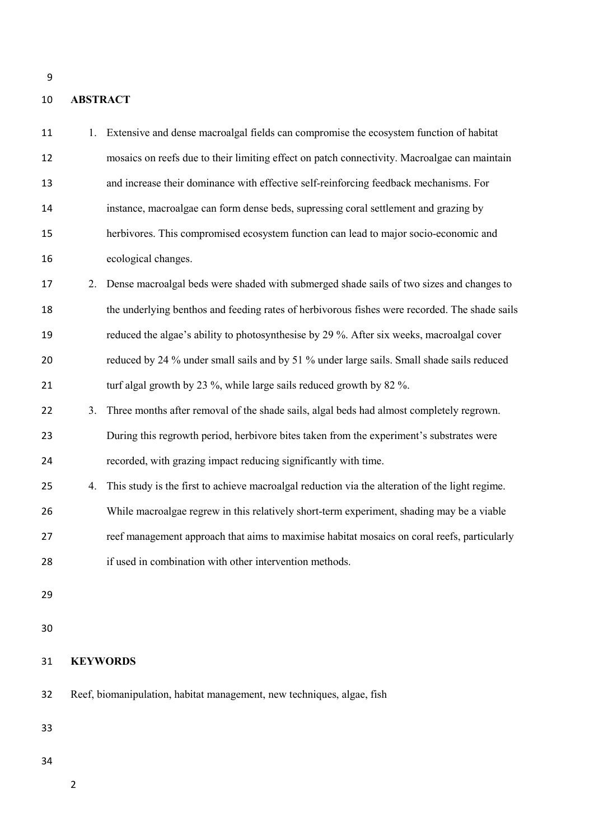# **ABSTRACT**

| 11 |                                                                        | 1. Extensive and dense macroalgal fields can compromise the ecosystem function of habitat       |
|----|------------------------------------------------------------------------|-------------------------------------------------------------------------------------------------|
| 12 |                                                                        | mosaics on reefs due to their limiting effect on patch connectivity. Macroalgae can maintain    |
| 13 |                                                                        | and increase their dominance with effective self-reinforcing feedback mechanisms. For           |
| 14 |                                                                        | instance, macroalgae can form dense beds, supressing coral settlement and grazing by            |
| 15 |                                                                        | herbivores. This compromised ecosystem function can lead to major socio-economic and            |
| 16 |                                                                        | ecological changes.                                                                             |
| 17 | 2.                                                                     | Dense macroalgal beds were shaded with submerged shade sails of two sizes and changes to        |
| 18 |                                                                        | the underlying benthos and feeding rates of herbivorous fishes were recorded. The shade sails   |
| 19 |                                                                        | reduced the algae's ability to photosynthesise by 29 %. After six weeks, macroalgal cover       |
| 20 |                                                                        | reduced by 24 % under small sails and by 51 % under large sails. Small shade sails reduced      |
| 21 |                                                                        | turf algal growth by 23 %, while large sails reduced growth by 82 %.                            |
| 22 | 3.                                                                     | Three months after removal of the shade sails, algal beds had almost completely regrown.        |
| 23 |                                                                        | During this regrowth period, herbivore bites taken from the experiment's substrates were        |
| 24 |                                                                        | recorded, with grazing impact reducing significantly with time.                                 |
| 25 | 4.                                                                     | This study is the first to achieve macroalgal reduction via the alteration of the light regime. |
| 26 |                                                                        | While macroalgae regrew in this relatively short-term experiment, shading may be a viable       |
| 27 |                                                                        | reef management approach that aims to maximise habitat mosaics on coral reefs, particularly     |
| 28 |                                                                        | if used in combination with other intervention methods.                                         |
| 29 |                                                                        |                                                                                                 |
|    |                                                                        |                                                                                                 |
| 30 |                                                                        |                                                                                                 |
| 31 |                                                                        | <b>KEYWORDS</b>                                                                                 |
| 32 | Reef, biomanipulation, habitat management, new techniques, algae, fish |                                                                                                 |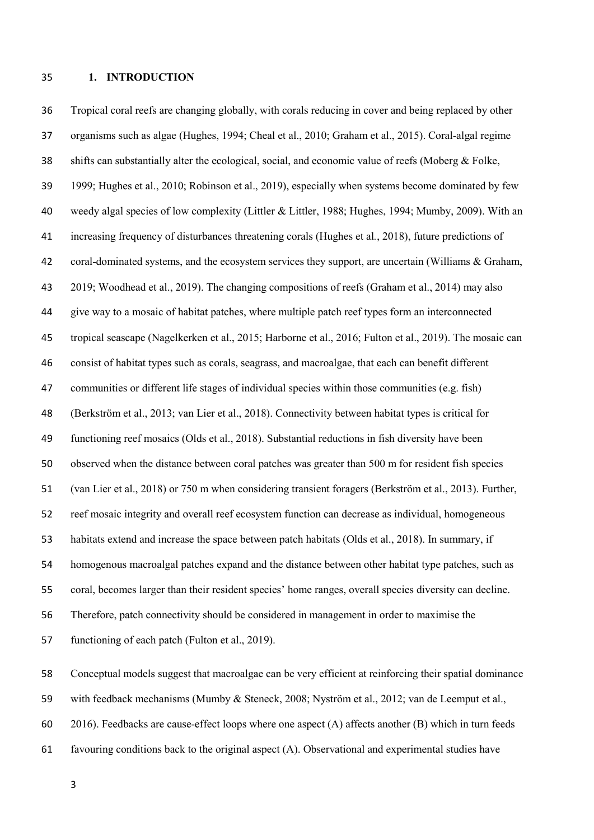## **1. INTRODUCTION**

 Tropical coral reefs are changing globally, with corals reducing in cover and being replaced by other organisms such as algae (Hughes, 1994; Cheal et al., 2010; Graham et al., 2015). Coral-algal regime shifts can substantially alter the ecological, social, and economic value of reefs (Moberg & Folke, 1999; Hughes et al., 2010; Robinson et al., 2019), especially when systems become dominated by few weedy algal species of low complexity (Littler & Littler, 1988; Hughes, 1994; Mumby, 2009). With an increasing frequency of disturbances threatening corals (Hughes et al*.*, 2018), future predictions of coral-dominated systems, and the ecosystem services they support, are uncertain (Williams & Graham, 2019; Woodhead et al., 2019). The changing compositions of reefs (Graham et al., 2014) may also give way to a mosaic of habitat patches, where multiple patch reef types form an interconnected tropical seascape (Nagelkerken et al., 2015; Harborne et al., 2016; Fulton et al., 2019). The mosaic can consist of habitat types such as corals, seagrass, and macroalgae, that each can benefit different communities or different life stages of individual species within those communities (e.g. fish) (Berkström et al., 2013; van Lier et al., 2018). Connectivity between habitat types is critical for functioning reef mosaics (Olds et al., 2018). Substantial reductions in fish diversity have been observed when the distance between coral patches was greater than 500 m for resident fish species (van Lier et al., 2018) or 750 m when considering transient foragers (Berkström et al., 2013). Further, reef mosaic integrity and overall reef ecosystem function can decrease as individual, homogeneous habitats extend and increase the space between patch habitats (Olds et al., 2018). In summary, if homogenous macroalgal patches expand and the distance between other habitat type patches, such as coral, becomes larger than their resident species' home ranges, overall species diversity can decline. Therefore, patch connectivity should be considered in management in order to maximise the functioning of each patch (Fulton et al., 2019).

 Conceptual models suggest that macroalgae can be very efficient at reinforcing their spatial dominance with feedback mechanisms (Mumby & Steneck, 2008; Nyström et al., 2012; van de Leemput et al., 2016). Feedbacks are cause-effect loops where one aspect (A) affects another (B) which in turn feeds favouring conditions back to the original aspect (A). Observational and experimental studies have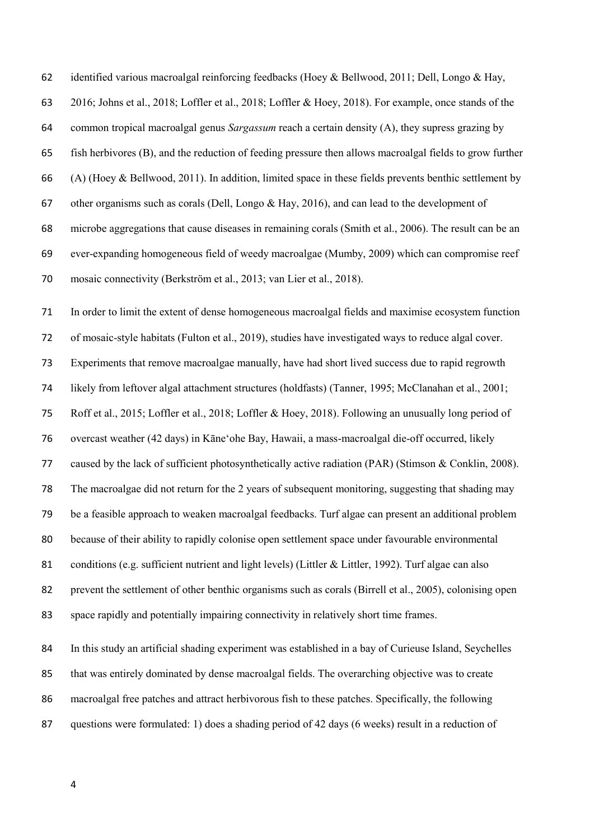identified various macroalgal reinforcing feedbacks (Hoey & Bellwood, 2011; Dell, Longo & Hay,

2016; Johns et al., 2018; Loffler et al., 2018; Loffler & Hoey, 2018). For example, once stands of the

common tropical macroalgal genus *Sargassum* reach a certain density (A), they supress grazing by

fish herbivores (B), and the reduction of feeding pressure then allows macroalgal fields to grow further

(A) (Hoey & Bellwood, 2011). In addition, limited space in these fields prevents benthic settlement by

other organisms such as corals (Dell, Longo & Hay, 2016), and can lead to the development of

 microbe aggregations that cause diseases in remaining corals (Smith et al., 2006). The result can be an ever-expanding homogeneous field of weedy macroalgae (Mumby, 2009) which can compromise reef

mosaic connectivity (Berkström et al., 2013; van Lier et al., 2018).

 In order to limit the extent of dense homogeneous macroalgal fields and maximise ecosystem function of mosaic-style habitats (Fulton et al., 2019), studies have investigated ways to reduce algal cover. Experiments that remove macroalgae manually, have had short lived success due to rapid regrowth likely from leftover algal attachment structures (holdfasts) (Tanner, 1995; McClanahan et al., 2001; Roff et al., 2015; Loffler et al., 2018; Loffler & Hoey, 2018). Following an unusually long period of overcast weather (42 days) in Kāneʻohe Bay, Hawaii, a mass-macroalgal die-off occurred, likely caused by the lack of sufficient photosynthetically active radiation (PAR) (Stimson & Conklin, 2008). The macroalgae did not return for the 2 years of subsequent monitoring, suggesting that shading may be a feasible approach to weaken macroalgal feedbacks. Turf algae can present an additional problem because of their ability to rapidly colonise open settlement space under favourable environmental conditions (e.g. sufficient nutrient and light levels) (Littler & Littler, 1992). Turf algae can also prevent the settlement of other benthic organisms such as corals (Birrell et al., 2005), colonising open space rapidly and potentially impairing connectivity in relatively short time frames.

 In this study an artificial shading experiment was established in a bay of Curieuse Island, Seychelles that was entirely dominated by dense macroalgal fields. The overarching objective was to create macroalgal free patches and attract herbivorous fish to these patches. Specifically, the following questions were formulated: 1) does a shading period of 42 days (6 weeks) result in a reduction of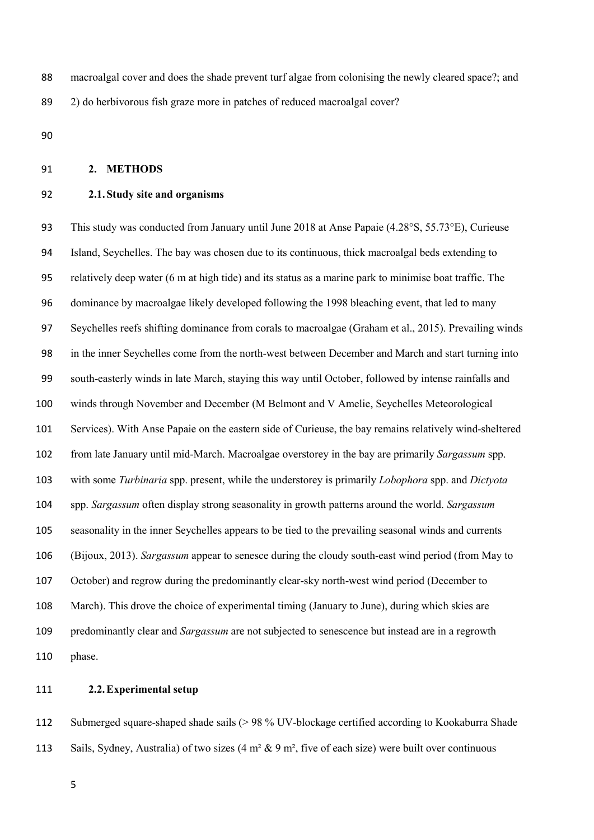macroalgal cover and does the shade prevent turf algae from colonising the newly cleared space?; and 2) do herbivorous fish graze more in patches of reduced macroalgal cover?

## **2. METHODS**

## **2.1.Study site and organisms**

93 This study was conducted from January until June 2018 at Anse Papaie (4.28°S, 55.73°E), Curieuse Island, Seychelles. The bay was chosen due to its continuous, thick macroalgal beds extending to relatively deep water (6 m at high tide) and its status as a marine park to minimise boat traffic. The dominance by macroalgae likely developed following the 1998 bleaching event, that led to many Seychelles reefs shifting dominance from corals to macroalgae (Graham et al., 2015). Prevailing winds in the inner Seychelles come from the north-west between December and March and start turning into south-easterly winds in late March, staying this way until October, followed by intense rainfalls and winds through November and December (M Belmont and V Amelie, Seychelles Meteorological Services). With Anse Papaie on the eastern side of Curieuse, the bay remains relatively wind-sheltered from late January until mid-March. Macroalgae overstorey in the bay are primarily *Sargassum* spp. with some *Turbinaria* spp. present, while the understorey is primarily *Lobophora* spp. and *Dictyota* spp. *Sargassum* often display strong seasonality in growth patterns around the world. *Sargassum* seasonality in the inner Seychelles appears to be tied to the prevailing seasonal winds and currents (Bijoux, 2013). *Sargassum* appear to senesce during the cloudy south-east wind period (from May to October) and regrow during the predominantly clear-sky north-west wind period (December to March). This drove the choice of experimental timing (January to June), during which skies are predominantly clear and *Sargassum* are not subjected to senescence but instead are in a regrowth phase.

## **2.2.Experimental setup**

 Submerged square-shaped shade sails (> 98 % UV-blockage certified according to Kookaburra Shade 113 Sails, Sydney, Australia) of two sizes  $(4 \text{ m}^2 \& 9 \text{ m}^2)$ , five of each size) were built over continuous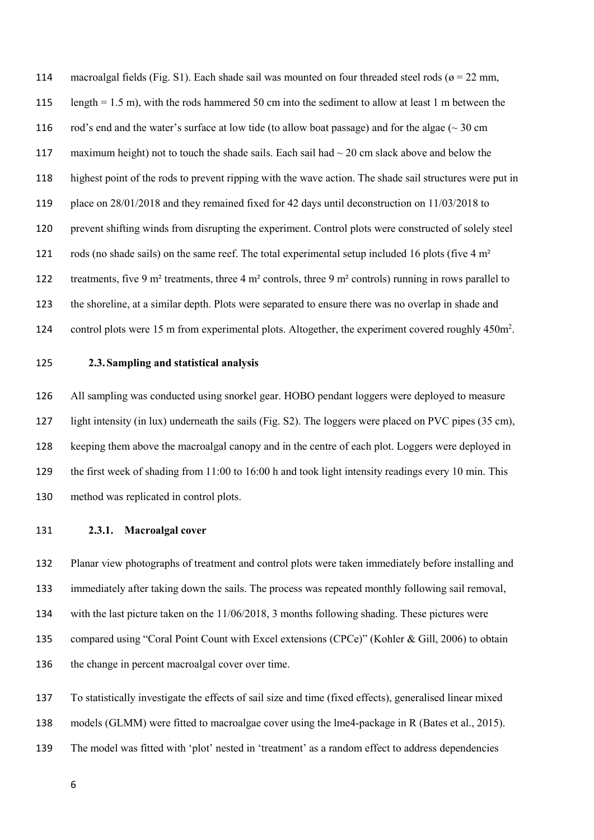114 macroalgal fields (Fig. S1). Each shade sail was mounted on four threaded steel rods ( $\sigma$  = 22 mm, length = 1.5 m), with the rods hammered 50 cm into the sediment to allow at least 1 m between the 116 rod's end and the water's surface at low tide (to allow boat passage) and for the algae ( $\sim$  30 cm 117 maximum height) not to touch the shade sails. Each sail had  $\sim$  20 cm slack above and below the highest point of the rods to prevent ripping with the wave action. The shade sail structures were put in place on 28/01/2018 and they remained fixed for 42 days until deconstruction on 11/03/2018 to prevent shifting winds from disrupting the experiment. Control plots were constructed of solely steel 121 rods (no shade sails) on the same reef. The total experimental setup included 16 plots (five 4 m<sup>2</sup> 122 treatments, five 9 m<sup>2</sup> treatments, three 4 m<sup>2</sup> controls, three 9 m<sup>2</sup> controls) running in rows parallel to the shoreline, at a similar depth. Plots were separated to ensure there was no overlap in shade and 124 control plots were 15 m from experimental plots. Altogether, the experiment covered roughly 450m<sup>2</sup>.

**2.3.Sampling and statistical analysis**

 All sampling was conducted using snorkel gear. HOBO pendant loggers were deployed to measure light intensity (in lux) underneath the sails (Fig. S2). The loggers were placed on PVC pipes (35 cm), keeping them above the macroalgal canopy and in the centre of each plot. Loggers were deployed in the first week of shading from 11:00 to 16:00 h and took light intensity readings every 10 min. This method was replicated in control plots.

**2.3.1. Macroalgal cover**

 Planar view photographs of treatment and control plots were taken immediately before installing and immediately after taking down the sails. The process was repeated monthly following sail removal, with the last picture taken on the 11/06/2018, 3 months following shading. These pictures were compared using "Coral Point Count with Excel extensions (CPCe)" (Kohler & Gill, 2006) to obtain the change in percent macroalgal cover over time.

 To statistically investigate the effects of sail size and time (fixed effects), generalised linear mixed models (GLMM) were fitted to macroalgae cover using the lme4-package in R (Bates et al., 2015). The model was fitted with 'plot' nested in 'treatment' as a random effect to address dependencies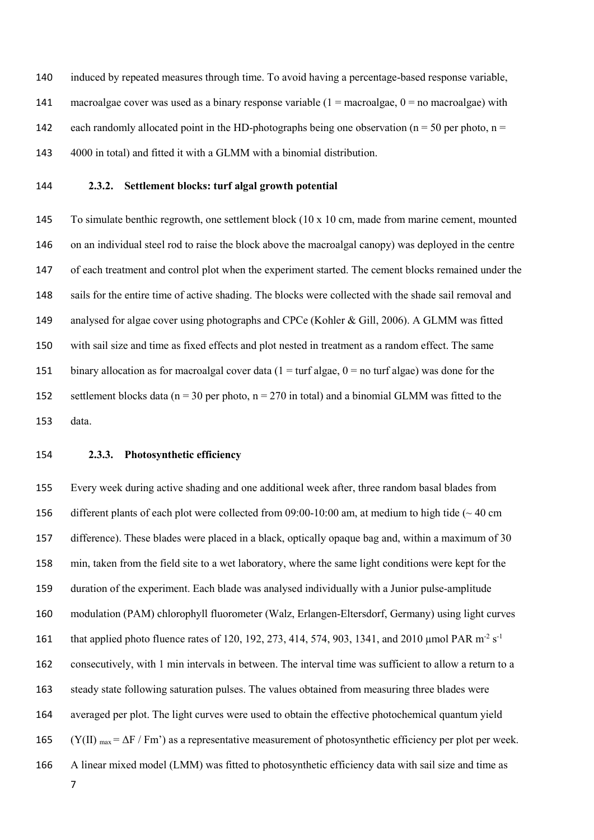induced by repeated measures through time. To avoid having a percentage-based response variable, 141 macroalgae cover was used as a binary response variable  $(1 = \text{macroalgae}, 0 = \text{no macroalgae})$  with 142 each randomly allocated point in the HD-photographs being one observation ( $n = 50$  per photo,  $n =$ 4000 in total) and fitted it with a GLMM with a binomial distribution.

## **2.3.2. Settlement blocks: turf algal growth potential**

 To simulate benthic regrowth, one settlement block (10 x 10 cm, made from marine cement, mounted on an individual steel rod to raise the block above the macroalgal canopy) was deployed in the centre of each treatment and control plot when the experiment started. The cement blocks remained under the sails for the entire time of active shading. The blocks were collected with the shade sail removal and analysed for algae cover using photographs and CPCe (Kohler & Gill, 2006). A GLMM was fitted with sail size and time as fixed effects and plot nested in treatment as a random effect. The same 151 binary allocation as for macroalgal cover data ( $1 = \text{turf algebra}$ ) = no turf algae) was done for the 152 settlement blocks data ( $n = 30$  per photo,  $n = 270$  in total) and a binomial GLMM was fitted to the data.

## **2.3.3. Photosynthetic efficiency**

 Every week during active shading and one additional week after, three random basal blades from different plants of each plot were collected from 09:00-10:00 am, at medium to high tide (~ 40 cm difference). These blades were placed in a black, optically opaque bag and, within a maximum of 30 min, taken from the field site to a wet laboratory, where the same light conditions were kept for the duration of the experiment. Each blade was analysed individually with a Junior pulse-amplitude modulation (PAM) chlorophyll fluorometer (Walz, Erlangen-Eltersdorf, Germany) using light curves that applied photo fluence rates of 120, 192, 273, 414, 574, 903, 1341, and 2010 µmol PAR m<sup>-2</sup> s<sup>-1</sup> consecutively, with 1 min intervals in between. The interval time was sufficient to allow a return to a steady state following saturation pulses. The values obtained from measuring three blades were averaged per plot. The light curves were used to obtain the effective photochemical quantum yield 165 (Y(II)  $_{\text{max}} = \Delta F / Fm'$ ) as a representative measurement of photosynthetic efficiency per plot per week. A linear mixed model (LMM) was fitted to photosynthetic efficiency data with sail size and time as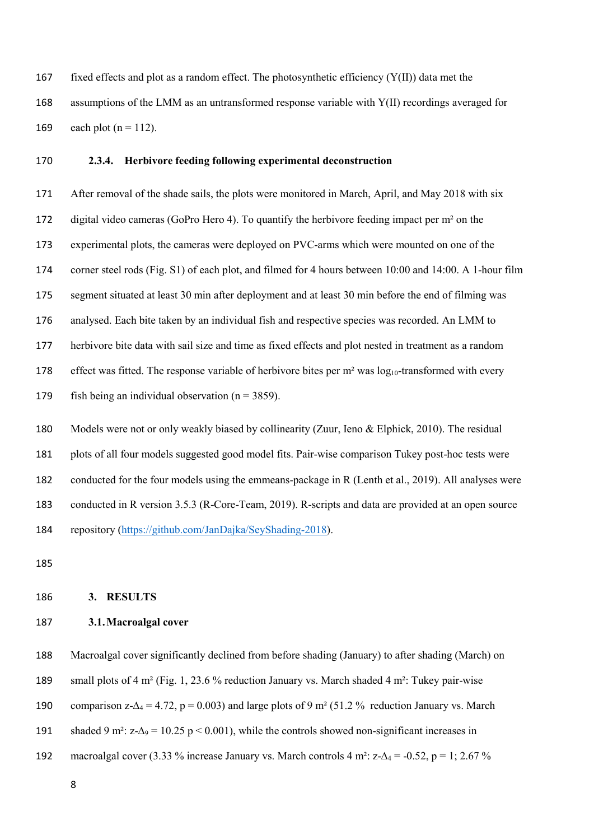167 fixed effects and plot as a random effect. The photosynthetic efficiency  $(Y(II))$  data met the assumptions of the LMM as an untransformed response variable with Y(II) recordings averaged for 169 each plot  $(n = 112)$ .

## **2.3.4. Herbivore feeding following experimental deconstruction**

 After removal of the shade sails, the plots were monitored in March, April, and May 2018 with six 172 digital video cameras (GoPro Hero 4). To quantify the herbivore feeding impact per  $m<sup>2</sup>$  on the experimental plots, the cameras were deployed on PVC-arms which were mounted on one of the corner steel rods (Fig. S1) of each plot, and filmed for 4 hours between 10:00 and 14:00. A 1-hour film segment situated at least 30 min after deployment and at least 30 min before the end of filming was analysed. Each bite taken by an individual fish and respective species was recorded. An LMM to herbivore bite data with sail size and time as fixed effects and plot nested in treatment as a random 178 effect was fitted. The response variable of herbivore bites per  $m<sup>2</sup>$  was  $log_{10}$ -transformed with every 179 fish being an individual observation ( $n = 3859$ ).

 Models were not or only weakly biased by collinearity (Zuur, Ieno & Elphick, 2010). The residual plots of all four models suggested good model fits. Pair-wise comparison Tukey post-hoc tests were conducted for the four models using the emmeans-package in R (Lenth et al., 2019). All analyses were conducted in R version 3.5.3 (R-Core-Team, 2019). R-scripts and data are provided at an open source repository [\(https://github.com/JanDajka/SeyShading-2018\)](https://github.com/JanDajka/SeyShading-2018).

### **3. RESULTS**

### **3.1.Macroalgal cover**

Macroalgal cover significantly declined from before shading (January) to after shading (March) on

small plots of 4 m² (Fig. 1, 23.6 % reduction January vs. March shaded 4 m²: Tukey pair-wise

190 comparison z- $\Delta_4 = 4.72$ , p = 0.003) and large plots of 9 m<sup>2</sup> (51.2 % reduction January vs. March

191 shaded 9 m<sup>2</sup>:  $z-\Delta_9 = 10.25$  p < 0.001), while the controls showed non-significant increases in

192 macroalgal cover (3.33 % increase January vs. March controls 4 m<sup>2</sup>: z- $\Delta_4$  = -0.52, p = 1; 2.67 %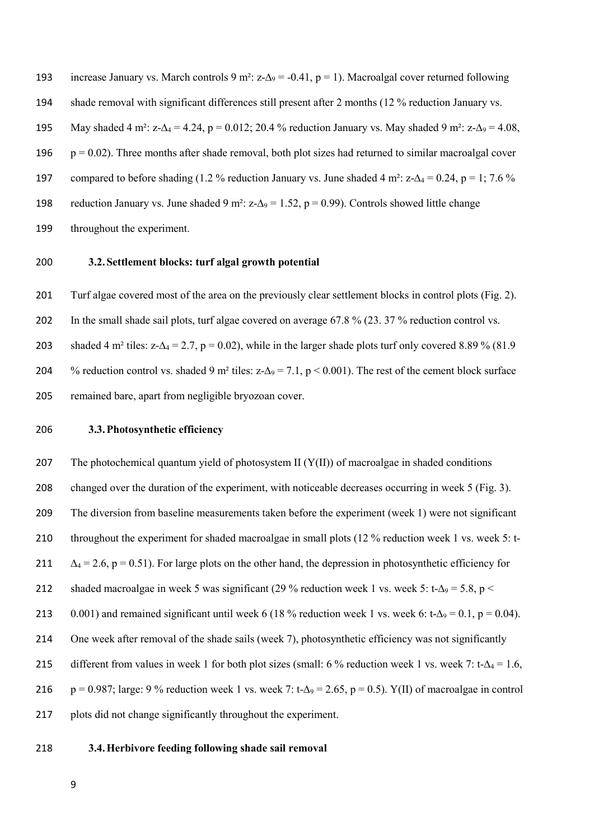193 increase January vs. March controls 9 m<sup>2</sup>: z- $\Delta$ 9 = -0.41, p = 1). Macroalgal cover returned following 194 shade removal with significant differences still present after 2 months (12 % reduction January vs. 195 May shaded 4 m<sup>2</sup>: z- $\Delta_4$  = 4.24, p = 0.012; 20.4 % reduction January vs. May shaded 9 m<sup>2</sup>: z- $\Delta_9$  = 4.08, 196  $p = 0.02$ ). Three months after shade removal, both plot sizes had returned to similar macroalgal cover 197 compared to before shading (1.2 % reduction January vs. June shaded 4 m<sup>2</sup>: z- $\Delta_4$  = 0.24, p = 1; 7.6 % 198 reduction January vs. June shaded 9 m<sup>2</sup>: z- $\Delta$ <sub>9</sub> = 1.52, p = 0.99). Controls showed little change 199 throughout the experiment.

## 200 **3.2.Settlement blocks: turf algal growth potential**

201 Turf algae covered most of the area on the previously clear settlement blocks in control plots (Fig. 2). 202 In the small shade sail plots, turf algae covered on average 67.8 % (23. 37 % reduction control vs. 203 shaded 4 m<sup>2</sup> tiles: z- $\Delta_4$  = 2.7, p = 0.02), while in the larger shade plots turf only covered 8.89 % (81.9) 204 % reduction control vs. shaded 9 m<sup>2</sup> tiles: z- $\Delta$ 9 = 7.1, p < 0.001). The rest of the cement block surface 205 remained bare, apart from negligible bryozoan cover.

206 **3.3.Photosynthetic efficiency**

207 The photochemical quantum yield of photosystem II  $(Y(II))$  of macroalgae in shaded conditions 208 changed over the duration of the experiment, with noticeable decreases occurring in week 5 (Fig. 3). 209 The diversion from baseline measurements taken before the experiment (week 1) were not significant 210 throughout the experiment for shaded macroalgae in small plots (12 % reduction week 1 vs. week 5: t-211  $\Delta_4 = 2.6$ , p = 0.51). For large plots on the other hand, the depression in photosynthetic efficiency for 212 shaded macroalgae in week 5 was significant (29 % reduction week 1 vs. week 5: t- $\Delta$ 9 = 5.8, p < 213 0.001) and remained significant until week 6 (18 % reduction week 1 vs. week 6: t- $\Delta$ 9 = 0.1, p = 0.04). 214 One week after removal of the shade sails (week 7), photosynthetic efficiency was not significantly 215 different from values in week 1 for both plot sizes (small: 6 % reduction week 1 vs. week 7: t- $\Delta_4 = 1.6$ , 216 p = 0.987; large: 9 % reduction week 1 vs. week 7: t- $\Delta$ 9 = 2.65, p = 0.5). Y(II) of macroalgae in control 217 plots did not change significantly throughout the experiment.

218 **3.4.Herbivore feeding following shade sail removal**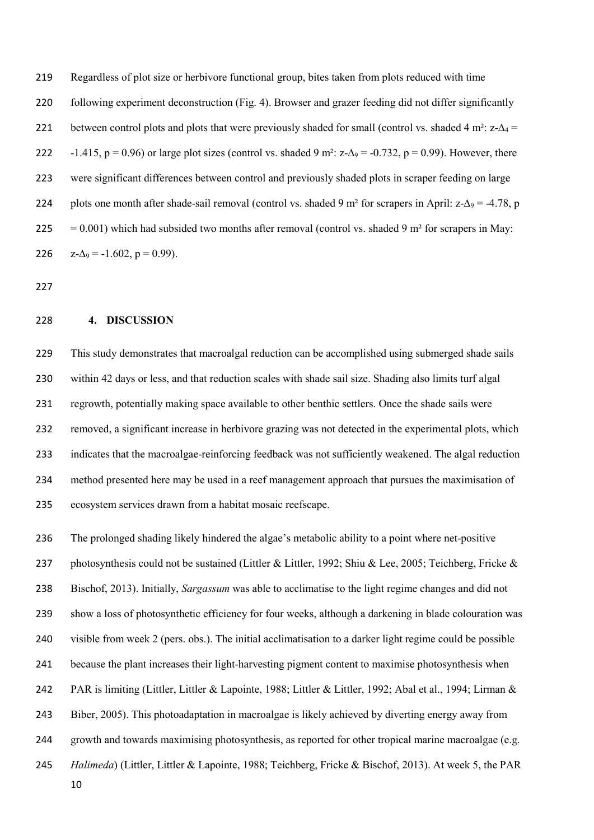Regardless of plot size or herbivore functional group, bites taken from plots reduced with time following experiment deconstruction (Fig. 4). Browser and grazer feeding did not differ significantly 221 between control plots and plots that were previously shaded for small (control vs. shaded 4 m<sup>2</sup>: z- $\Delta_4$  = 222 -1.415, p = 0.96) or large plot sizes (control vs. shaded 9 m<sup>2</sup>: z- $\Delta$ <sub>9</sub> = -0.732, p = 0.99). However, there were significant differences between control and previously shaded plots in scraper feeding on large 224 plots one month after shade-sail removal (control vs. shaded 9 m<sup>2</sup> for scrapers in April: z- $\Delta$ 9 = -4.78, p 225 = 0.001) which had subsided two months after removal (control vs. shaded 9 m<sup>2</sup> for scrapers in May: 226  $z-\Delta_9 = -1.602$ ,  $p = 0.99$ ).

#### **4. DISCUSSION**

 This study demonstrates that macroalgal reduction can be accomplished using submerged shade sails within 42 days or less, and that reduction scales with shade sail size. Shading also limits turf algal regrowth, potentially making space available to other benthic settlers. Once the shade sails were removed, a significant increase in herbivore grazing was not detected in the experimental plots, which indicates that the macroalgae-reinforcing feedback was not sufficiently weakened. The algal reduction method presented here may be used in a reef management approach that pursues the maximisation of ecosystem services drawn from a habitat mosaic reefscape.

 The prolonged shading likely hindered the algae's metabolic ability to a point where net-positive 237 photosynthesis could not be sustained (Littler & Littler, 1992; Shiu & Lee, 2005; Teichberg, Fricke & Bischof, 2013). Initially, *Sargassum* was able to acclimatise to the light regime changes and did not show a loss of photosynthetic efficiency for four weeks, although a darkening in blade colouration was visible from week 2 (pers. obs.). The initial acclimatisation to a darker light regime could be possible because the plant increases their light-harvesting pigment content to maximise photosynthesis when PAR is limiting (Littler, Littler & Lapointe, 1988; Littler & Littler, 1992; Abal et al., 1994; Lirman & Biber, 2005). This photoadaptation in macroalgae is likely achieved by diverting energy away from growth and towards maximising photosynthesis, as reported for other tropical marine macroalgae (e.g. *Halimeda*) (Littler, Littler & Lapointe, 1988; Teichberg, Fricke & Bischof, 2013). At week 5, the PAR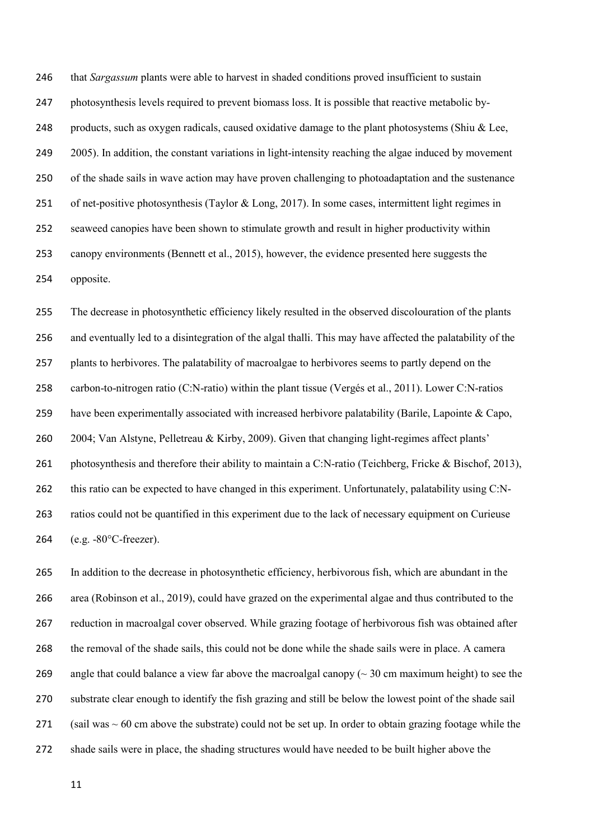that *Sargassum* plants were able to harvest in shaded conditions proved insufficient to sustain photosynthesis levels required to prevent biomass loss. It is possible that reactive metabolic by-248 products, such as oxygen radicals, caused oxidative damage to the plant photosystems (Shiu & Lee, 249 2005). In addition, the constant variations in light-intensity reaching the algae induced by movement of the shade sails in wave action may have proven challenging to photoadaptation and the sustenance of net-positive photosynthesis (Taylor & Long, 2017). In some cases, intermittent light regimes in seaweed canopies have been shown to stimulate growth and result in higher productivity within canopy environments (Bennett et al., 2015), however, the evidence presented here suggests the opposite.

 The decrease in photosynthetic efficiency likely resulted in the observed discolouration of the plants and eventually led to a disintegration of the algal thalli. This may have affected the palatability of the plants to herbivores. The palatability of macroalgae to herbivores seems to partly depend on the carbon-to-nitrogen ratio (C:N-ratio) within the plant tissue (Vergés et al., 2011). Lower C:N-ratios have been experimentally associated with increased herbivore palatability (Barile, Lapointe & Capo, 2004; Van Alstyne, Pelletreau & Kirby, 2009). Given that changing light-regimes affect plants' 261 photosynthesis and therefore their ability to maintain a C:N-ratio (Teichberg, Fricke & Bischof, 2013), this ratio can be expected to have changed in this experiment. Unfortunately, palatability using C:N- ratios could not be quantified in this experiment due to the lack of necessary equipment on Curieuse (e.g. -80°C-freezer).

 In addition to the decrease in photosynthetic efficiency, herbivorous fish, which are abundant in the area (Robinson et al., 2019), could have grazed on the experimental algae and thus contributed to the reduction in macroalgal cover observed. While grazing footage of herbivorous fish was obtained after the removal of the shade sails, this could not be done while the shade sails were in place. A camera 269 angle that could balance a view far above the macroalgal canopy ( $\sim$  30 cm maximum height) to see the substrate clear enough to identify the fish grazing and still be below the lowest point of the shade sail 271 (sail was  $\sim 60$  cm above the substrate) could not be set up. In order to obtain grazing footage while the shade sails were in place, the shading structures would have needed to be built higher above the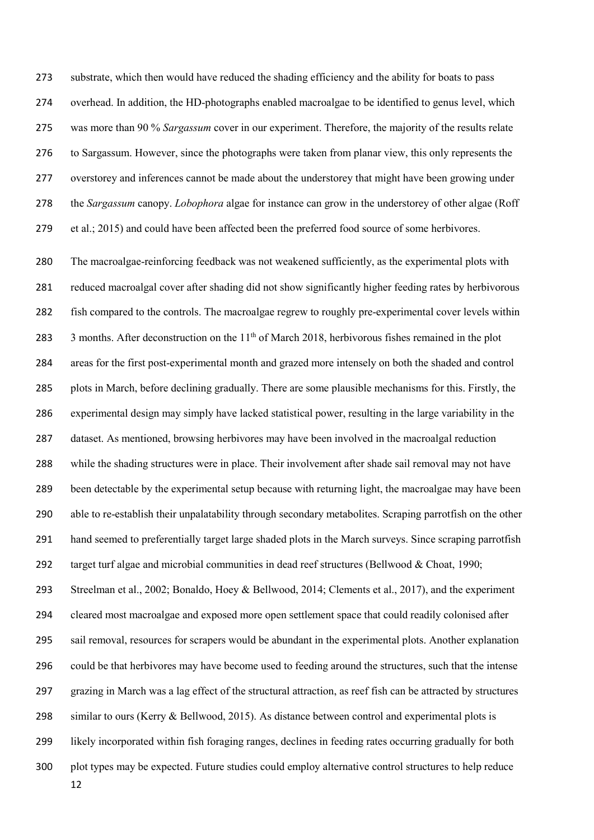substrate, which then would have reduced the shading efficiency and the ability for boats to pass overhead. In addition, the HD-photographs enabled macroalgae to be identified to genus level, which was more than 90 % *Sargassum* cover in our experiment. Therefore, the majority of the results relate to Sargassum. However, since the photographs were taken from planar view, this only represents the overstorey and inferences cannot be made about the understorey that might have been growing under the *Sargassum* canopy. *Lobophora* algae for instance can grow in the understorey of other algae (Roff 279 et al.; 2015) and could have been affected been the preferred food source of some herbivores.

 The macroalgae-reinforcing feedback was not weakened sufficiently, as the experimental plots with reduced macroalgal cover after shading did not show significantly higher feeding rates by herbivorous fish compared to the controls. The macroalgae regrew to roughly pre-experimental cover levels within  $\,$  3 months. After deconstruction on the 11<sup>th</sup> of March 2018, herbivorous fishes remained in the plot areas for the first post-experimental month and grazed more intensely on both the shaded and control plots in March, before declining gradually. There are some plausible mechanisms for this. Firstly, the experimental design may simply have lacked statistical power, resulting in the large variability in the dataset. As mentioned, browsing herbivores may have been involved in the macroalgal reduction while the shading structures were in place. Their involvement after shade sail removal may not have been detectable by the experimental setup because with returning light, the macroalgae may have been able to re-establish their unpalatability through secondary metabolites. Scraping parrotfish on the other hand seemed to preferentially target large shaded plots in the March surveys. Since scraping parrotfish target turf algae and microbial communities in dead reef structures (Bellwood & Choat, 1990; Streelman et al., 2002; Bonaldo, Hoey & Bellwood, 2014; Clements et al., 2017), and the experiment cleared most macroalgae and exposed more open settlement space that could readily colonised after sail removal, resources for scrapers would be abundant in the experimental plots. Another explanation could be that herbivores may have become used to feeding around the structures, such that the intense grazing in March was a lag effect of the structural attraction, as reef fish can be attracted by structures similar to ours (Kerry & Bellwood, 2015). As distance between control and experimental plots is likely incorporated within fish foraging ranges, declines in feeding rates occurring gradually for both plot types may be expected. Future studies could employ alternative control structures to help reduce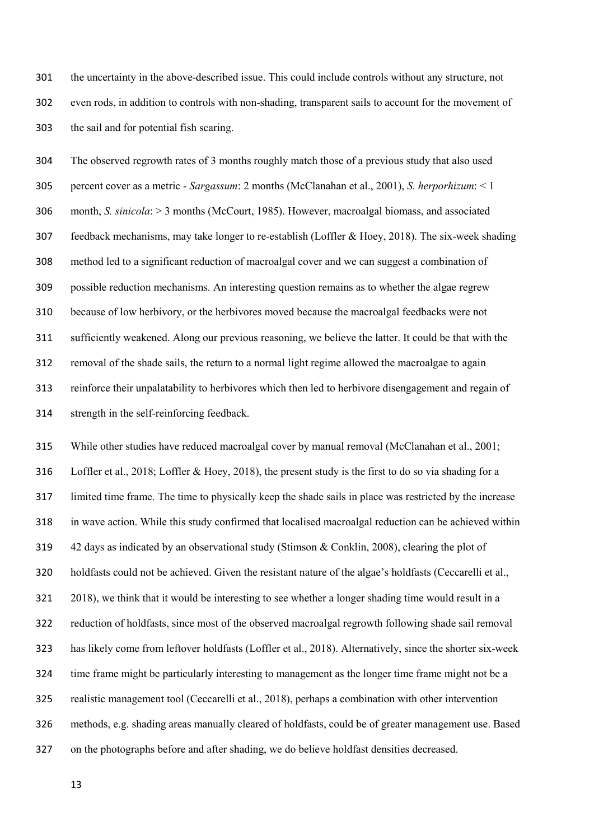the uncertainty in the above-described issue. This could include controls without any structure, not even rods, in addition to controls with non-shading, transparent sails to account for the movement of the sail and for potential fish scaring.

 The observed regrowth rates of 3 months roughly match those of a previous study that also used percent cover as a metric - *Sargassum*: 2 months (McClanahan et al., 2001), *S. herporhizum*: < 1 month, *S. sinicola*: > 3 months (McCourt, 1985). However, macroalgal biomass, and associated feedback mechanisms, may take longer to re-establish (Loffler & Hoey, 2018). The six-week shading method led to a significant reduction of macroalgal cover and we can suggest a combination of possible reduction mechanisms. An interesting question remains as to whether the algae regrew because of low herbivory, or the herbivores moved because the macroalgal feedbacks were not sufficiently weakened. Along our previous reasoning, we believe the latter. It could be that with the removal of the shade sails, the return to a normal light regime allowed the macroalgae to again reinforce their unpalatability to herbivores which then led to herbivore disengagement and regain of strength in the self-reinforcing feedback.

 While other studies have reduced macroalgal cover by manual removal (McClanahan et al., 2001; Loffler et al., 2018; Loffler & Hoey, 2018), the present study is the first to do so via shading for a limited time frame. The time to physically keep the shade sails in place was restricted by the increase in wave action. While this study confirmed that localised macroalgal reduction can be achieved within 42 days as indicated by an observational study (Stimson & Conklin, 2008), clearing the plot of holdfasts could not be achieved. Given the resistant nature of the algae's holdfasts (Ceccarelli et al., 2018), we think that it would be interesting to see whether a longer shading time would result in a reduction of holdfasts, since most of the observed macroalgal regrowth following shade sail removal has likely come from leftover holdfasts (Loffler et al., 2018). Alternatively, since the shorter six-week time frame might be particularly interesting to management as the longer time frame might not be a realistic management tool (Ceccarelli et al., 2018), perhaps a combination with other intervention methods, e.g. shading areas manually cleared of holdfasts, could be of greater management use. Based on the photographs before and after shading, we do believe holdfast densities decreased.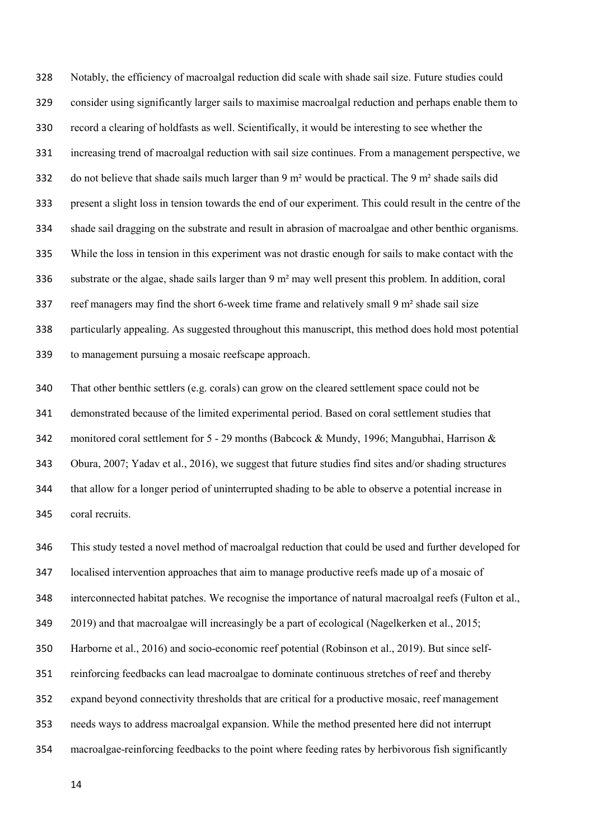Notably, the efficiency of macroalgal reduction did scale with shade sail size. Future studies could consider using significantly larger sails to maximise macroalgal reduction and perhaps enable them to record a clearing of holdfasts as well. Scientifically, it would be interesting to see whether the increasing trend of macroalgal reduction with sail size continues. From a management perspective, we do not believe that shade sails much larger than 9 m² would be practical. The 9 m² shade sails did present a slight loss in tension towards the end of our experiment. This could result in the centre of the shade sail dragging on the substrate and result in abrasion of macroalgae and other benthic organisms. While the loss in tension in this experiment was not drastic enough for sails to make contact with the 336 substrate or the algae, shade sails larger than  $9 \text{ m}^2$  may well present this problem. In addition, coral 337 reef managers may find the short 6-week time frame and relatively small 9 m<sup>2</sup> shade sail size particularly appealing. As suggested throughout this manuscript, this method does hold most potential to management pursuing a mosaic reefscape approach.

 That other benthic settlers (e.g. corals) can grow on the cleared settlement space could not be demonstrated because of the limited experimental period. Based on coral settlement studies that monitored coral settlement for 5 - 29 months (Babcock & Mundy, 1996; Mangubhai, Harrison & Obura, 2007; Yadav et al., 2016), we suggest that future studies find sites and/or shading structures that allow for a longer period of uninterrupted shading to be able to observe a potential increase in coral recruits.

 This study tested a novel method of macroalgal reduction that could be used and further developed for localised intervention approaches that aim to manage productive reefs made up of a mosaic of interconnected habitat patches. We recognise the importance of natural macroalgal reefs (Fulton et al., 2019) and that macroalgae will increasingly be a part of ecological (Nagelkerken et al., 2015; Harborne et al., 2016) and socio-economic reef potential (Robinson et al., 2019). But since self- reinforcing feedbacks can lead macroalgae to dominate continuous stretches of reef and thereby expand beyond connectivity thresholds that are critical for a productive mosaic, reef management needs ways to address macroalgal expansion. While the method presented here did not interrupt macroalgae-reinforcing feedbacks to the point where feeding rates by herbivorous fish significantly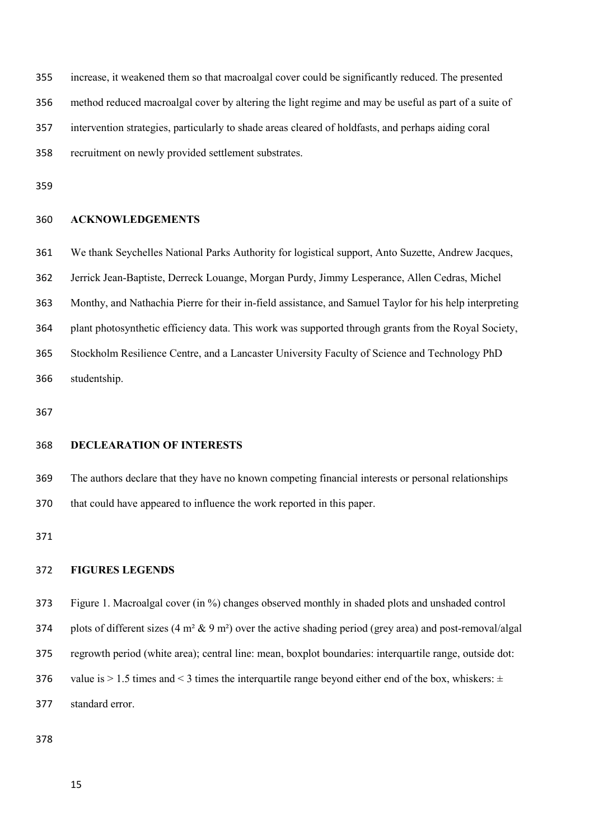increase, it weakened them so that macroalgal cover could be significantly reduced. The presented method reduced macroalgal cover by altering the light regime and may be useful as part of a suite of intervention strategies, particularly to shade areas cleared of holdfasts, and perhaps aiding coral recruitment on newly provided settlement substrates.

## **ACKNOWLEDGEMENTS**

 We thank Seychelles National Parks Authority for logistical support, Anto Suzette, Andrew Jacques, Jerrick Jean-Baptiste, Derreck Louange, Morgan Purdy, Jimmy Lesperance, Allen Cedras, Michel Monthy, and Nathachia Pierre for their in-field assistance, and Samuel Taylor for his help interpreting plant photosynthetic efficiency data. This work was supported through grants from the Royal Society, Stockholm Resilience Centre, and a Lancaster University Faculty of Science and Technology PhD studentship.

## **DECLEARATION OF INTERESTS**

 The authors declare that they have no known competing financial interests or personal relationships that could have appeared to influence the work reported in this paper.

### **FIGURES LEGENDS**

Figure 1. Macroalgal cover (in %) changes observed monthly in shaded plots and unshaded control

374 plots of different sizes  $(4 \text{ m}^2 \& 9 \text{ m}^2)$  over the active shading period (grey area) and post-removal/algal

regrowth period (white area); central line: mean, boxplot boundaries: interquartile range, outside dot:

- 376 value is  $> 1.5$  times and  $<$  3 times the interquartile range beyond either end of the box, whiskers:  $\pm$
- standard error.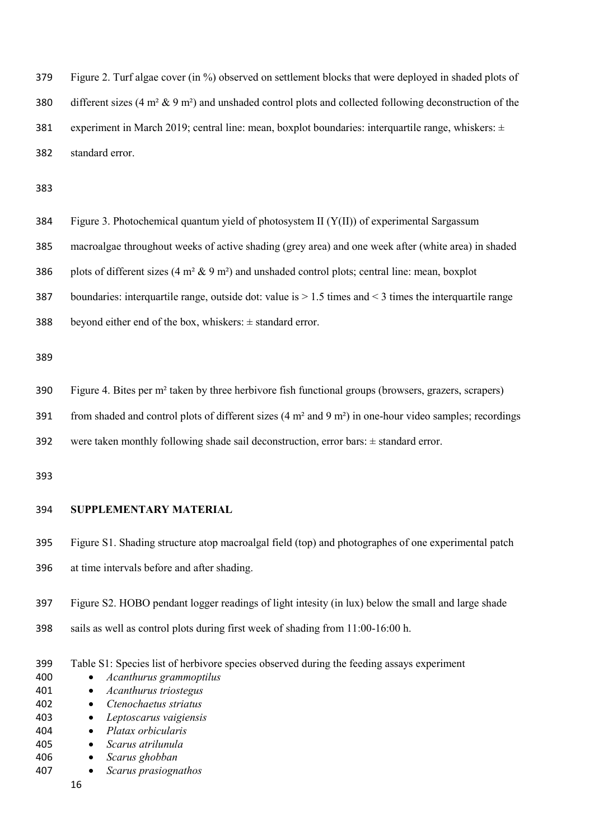Figure 2. Turf algae cover (in %) observed on settlement blocks that were deployed in shaded plots of different sizes (4 m² & 9 m²) and unshaded control plots and collected following deconstruction of the 381 experiment in March 2019; central line: mean, boxplot boundaries: interquartile range, whiskers:  $\pm$ standard error.

Figure 3. Photochemical quantum yield of photosystem II (Y(II)) of experimental Sargassum

macroalgae throughout weeks of active shading (grey area) and one week after (white area) in shaded

386 plots of different sizes  $(4 \text{ m}^2 \& 9 \text{ m}^2)$  and unshaded control plots; central line: mean, boxplot

boundaries: interquartile range, outside dot: value is > 1.5 times and < 3 times the interquartile range

388 beyond either end of the box, whiskers:  $\pm$  standard error.

Figure 4. Bites per m² taken by three herbivore fish functional groups (browsers, grazers, scrapers)

391 from shaded and control plots of different sizes  $(4 \text{ m}^2 \text{ and } 9 \text{ m}^2)$  in one-hour video samples; recordings

were taken monthly following shade sail deconstruction, error bars: ± standard error.

## **SUPPLEMENTARY MATERIAL**

- Figure S1. Shading structure atop macroalgal field (top) and photographes of one experimental patch at time intervals before and after shading.
- Figure S2. HOBO pendant logger readings of light intesity (in lux) below the small and large shade
- sails as well as control plots during first week of shading from 11:00-16:00 h.
- Table S1: Species list of herbivore species observed during the feeding assays experiment
- *Acanthurus grammoptilus*
- *Acanthurus triostegus*
- *Ctenochaetus striatus*
- *Leptoscarus vaigiensis*
- *Platax orbicularis* • *Scarus atrilunula*
- *Scarus ghobban*
- *Scarus prasiognathos*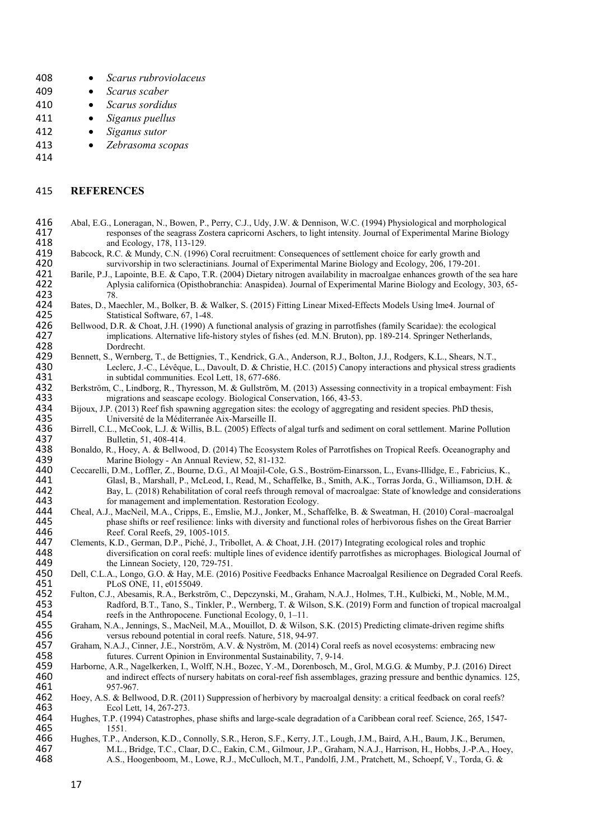- 408 *Scarus rubroviolaceus*
- 409 *Scarus scaber*
- 410 *Scarus sordidus*
- 411 *Siganus puellus*
- 412 *Siganus sutor*
- 413 *Zebrasoma scopas*
- 414

### 415 **REFERENCES**

- 416 Abal, E.G., Loneragan, N., Bowen, P., Perry, C.J., Udy, J.W. & Dennison, W.C. (1994) Physiological and morphological responses of the seagrass Zostera capricorni Aschers, to light intensity. Journal of Experimental Mar 417 responses of the seagrass Zostera capricorni Aschers, to light intensity. Journal of Experimental Marine Biology<br>418 and Ecology, 178, 113-129. 418 and Ecology, 178, 113-129.<br>419 Babcock, R.C. & Mundy, C.N. (1996)
- 419 Babcock, R.C. & Mundy, C.N. (1996) Coral recruitment: Consequences of settlement choice for early growth and<br>420 survivorship in two scleractinians. Journal of Experimental Marine Biology and Ecology, 206, 179-201. 420 survivorship in two scleractinians. Journal of Experimental Marine Biology and Ecology, 206, 179-201.<br>421 Barile, P.J., Lapointe, B.E. & Capo, T.R. (2004) Dietary nitrogen availability in macroalgae enhances growth of
- 421 Barile, P.J., Lapointe, B.E. & Capo, T.R. (2004) Dietary nitrogen availability in macroalgae enhances growth of the sea hare<br>422 Aplysia californica (Opisthobranchia: Anaspidea). Journal of Experimental Marine Biology Aplysia californica (Opisthobranchia: Anaspidea). Journal of Experimental Marine Biology and Ecology, 303, 65-<br>78. 423<br>424
- 424 Bates, D., Maechler, M., Bolker, B. & Walker, S. (2015) Fitting Linear Mixed-Effects Models Using lme4. Journal of 425 Statistical Software, 67, 1-48.<br>426 Bellwood, D.R. & Choat, J.H. (1990) A
- 426 Bellwood, D.R. & Choat, J.H. (1990) A functional analysis of grazing in parrotfishes (family Scaridae): the ecological 427 implications. Alternative life-history styles of fishes (ed. M.N. Bruton), pp. 189-214. Springe 427 implications. Alternative life-history styles of fishes (ed. M.N. Bruton), pp. 189-214. Springer Netherlands, 428 Dordrecht. 428 Dordrecht.<br>429 Bennett, S., Wernber
- 429 Bennett, S., Wernberg, T., de Bettignies, T., Kendrick, G.A., Anderson, R.J., Bolton, J.J., Rodgers, K.L., Shears, N.T., 430 Leclerc, J.-C., Lévêque, L., Davoult, D. & Christie, H.C. (2015) Canopy interactions and phys 430 Leclerc, J.-C., Lévêque, L., Davoult, D. & Christie, H.C. (2015) Canopy interactions and physical stress gradients in subtidal communities. Ecol Lett, 18, 677-686. 431 in subtidal communities. Ecol Lett, 18, 677-686.<br>432 Berkström, C., Lindborg, R., Thyresson, M. & Gullström,
- 432 Berkström, C., Lindborg, R., Thyresson, M. & Gullström, M. (2013) Assessing connectivity in a tropical embayment: Fish 433 migrations and seascape ecology. Biological Conservation, 166, 43-53.<br>434 Bijoux, J.P. (2013) Reef fish spawning aggregation sites: the ecology of aggregation
- 434 Bijoux, J.P. (2013) Reef fish spawning aggregation sites: the ecology of aggregating and resident species. PhD thesis,<br>435 Université de la Méditerranée Aix-Marseille II. 435 Université de la Méditerranée Aix-Marseille II.<br>436 Birrell, C.L., McCook, L.J. & Willis, B.L. (2005) Effects
- 436 Birrell, C.L., McCook, L.J. & Willis, B.L. (2005) Effects of algal turfs and sediment on coral settlement. Marine Pollution 437 Bulletin, 51, 408-414.<br>438 Bonaldo, R., Hoey, A. & Bellwo
- 438 Bonaldo, R., Hoey, A. & Bellwood, D. (2014) The Ecosystem Roles of Parrotfishes on Tropical Reefs. Oceanography and A39 Marine Biology An Annual Review, 52, 81-132. 439 Marine Biology - An Annual Review, 52, 81-132.<br>440 Ceccarelli, D.M., Loffler, Z., Bourne, D.G., Al Moajil-Cole,
- 440 Ceccarelli, D.M., Loffler, Z., Bourne, D.G., Al Moajil-Cole, G.S., Boström-Einarsson, L., Evans-Illidge, E., Fabricius, K., 441 Glasl, B., Marshall, P., McLeod, I., Read, M., Schaffelke, B., Smith, A.K., Torras Jorda, G., Williamson, D.H. & 442 Bay, L. (2018) Rehabilitation of coral reefs through removal of macroalgae: State of knowledge and considerations 443 for management and implementation. Restoration Ecology.<br>444 Cheal, A.J., MacNeil, M.A., Cripps, E., Emslie, M.J., Jonker, M., Sch
- 444 Cheal, A.J., MacNeil, M.A., Cripps, E., Emslie, M.J., Jonker, M., Schaffelke, B. & Sweatman, H. (2010) Coral–macroalgal 445 phase shifts or reef resilience: links with diversity and functional roles of herbivorous fishes on the Great Barrier 446 Reef. Coral Reefs, 29, 1005-1015.<br>447 Clements, K.D., German, D.P., Piché, J., Tri
- 447 Clements, K.D., German, D.P., Piché, J., Tribollet, A. & Choat, J.H. (2017) Integrating ecological roles and trophic diversification on coral reefs: multiple lines of evidence identify parrotfishes as microphages. Biol 448 diversification on coral reefs: multiple lines of evidence identify parrotfishes as microphages. Biological Journal of 449 449 the Linnean Society, 120, 729-751.<br>450 Dell, C.L.A., Longo, G.O. & Hay, M.E. (201
- 450 Dell, C.L.A., Longo, G.O. & Hay, M.E. (2016) Positive Feedbacks Enhance Macroalgal Resilience on Degraded Coral Reefs. 451 PLoS ONE, 11, e0155049.<br>452 Fulton, C.J., Abesamis, R.A., Berkstr
- 452 Fulton, C.J., Abesamis, R.A., Berkström, C., Depczynski, M., Graham, N.A.J., Holmes, T.H., Kulbicki, M., Noble, M.M., 453 Radford, B.T., Tano, S., Tinkler, P., Wernberg, T. & Wilson, S.K. (2019) Form and function of tropical macroalgal reefs in the Anthropocene. Functional Ecology, 0, 1–11. 454 reefs in the Anthropocene. Functional Ecology, 0, 1–11.<br>455 Graham, N.A., Jennings, S., MacNeil, M.A., Mouillot, D. & Wilsc
- 455 Graham, N.A., Jennings, S., MacNeil, M.A., Mouillot, D. & Wilson, S.K. (2015) Predicting climate-driven regime shifts 456 versus rebound potential in coral reefs. Nature, 518, 94-97.<br>457 Graham, N.A.J., Cinner, J.E., Norström, A.V. & Nyström, M. (2014)
- 457 Graham, N.A.J., Cinner, J.E., Norström, A.V. & Nyström, M. (2014) Coral reefs as novel ecosystems: embracing new<br>458 futures. Current Opinion in Environmental Sustainability. 7. 9-14. 458 futures. Current Opinion in Environmental Sustainability, 7, 9-14.<br>459 Harborne, A.R., Nagelkerken, I., Wolff, N.H., Bozec, Y.-M., Dorenbosch, N.
- 459 Harborne, A.R., Nagelkerken, I., Wolff, N.H., Bozec, Y.-M., Dorenbosch, M., Grol, M.G.G. & Mumby, P.J. (2016) Direct 460 and indirect effects of nursery habitats on coral-reef fish assemblages, grazing pressure and benthic dynamics. 125, 461 957-967. 461 957-967.<br>462 Hoey, A.S. & Belly
- 462 Hoey, A.S. & Bellwood, D.R. (2011) Suppression of herbivory by macroalgal density: a critical feedback on coral reefs? 463 Ecol Lett, 14, 267-273.<br>464 Hughes, T.P. (1994) Catastrophe
- Hughes, T.P. (1994) Catastrophes, phase shifts and large-scale degradation of a Caribbean coral reef. Science, 265, 1547-465 1551.<br>466 Hughes, T.P., A
- 466 Hughes, T.P., Anderson, K.D., Connolly, S.R., Heron, S.F., Kerry, J.T., Lough, J.M., Baird, A.H., Baum, J.K., Berumen, Abr M.L., Bridge, T.C., Claar, D.C., Eakin, C.M., Gilmour, J.P., Graham, N.A.J., Harrison, H., Hobbs, J.-P.A., Hoey, 468<br>468 A.S., Hoogenboom, M., Lowe, R.J., McCulloch, M.T., Pandolfi, J.M., Pratchett, M., Schoepf, V., To 468 A.S., Hoogenboom, M., Lowe, R.J., McCulloch, M.T., Pandolfi, J.M., Pratchett, M., Schoepf, V., Torda, G. &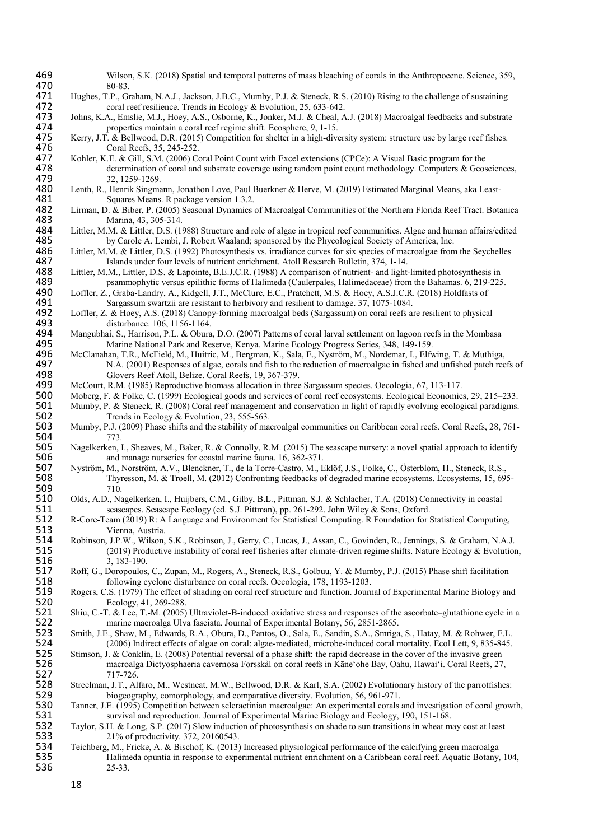| 469        | Wilson, S.K. (2018) Spatial and temporal patterns of mass bleaching of corals in the Anthropocene. Science, 359,                                                  |
|------------|-------------------------------------------------------------------------------------------------------------------------------------------------------------------|
| 470        | 80-83.                                                                                                                                                            |
| 471        | Hughes, T.P., Graham, N.A.J., Jackson, J.B.C., Mumby, P.J. & Steneck, R.S. (2010) Rising to the challenge of sustaining                                           |
| 472        | coral reef resilience. Trends in Ecology & Evolution, 25, 633-642.                                                                                                |
| 473        | Johns, K.A., Emslie, M.J., Hoey, A.S., Osborne, K., Jonker, M.J. & Cheal, A.J. (2018) Macroalgal feedbacks and substrate                                          |
| 474        | properties maintain a coral reef regime shift. Ecosphere, 9, 1-15.                                                                                                |
| 475<br>476 | Kerry, J.T. & Bellwood, D.R. (2015) Competition for shelter in a high-diversity system: structure use by large reef fishes.                                       |
| 477        | Coral Reefs, 35, 245-252.<br>Kohler, K.E. & Gill, S.M. (2006) Coral Point Count with Excel extensions (CPCe): A Visual Basic program for the                      |
| 478        | determination of coral and substrate coverage using random point count methodology. Computers & Geosciences,                                                      |
| 479        | 32, 1259-1269.                                                                                                                                                    |
| 480        | Lenth, R., Henrik Singmann, Jonathon Love, Paul Buerkner & Herve, M. (2019) Estimated Marginal Means, aka Least-                                                  |
| 481        | Squares Means. R package version 1.3.2.                                                                                                                           |
| 482        | Lirman, D. & Biber, P. (2005) Seasonal Dynamics of Macroalgal Communities of the Northern Florida Reef Tract. Botanica                                            |
| 483        | Marina, 43, 305-314.                                                                                                                                              |
| 484        | Littler, M.M. & Littler, D.S. (1988) Structure and role of algae in tropical reef communities. Algae and human affairs/edited                                     |
| 485        | by Carole A. Lembi, J. Robert Waaland; sponsored by the Phycological Society of America, Inc.                                                                     |
| 486        | Littler, M.M. & Littler, D.S. (1992) Photosynthesis vs. irradiance curves for six species of macroalgae from the Seychelles                                       |
| 487        | Islands under four levels of nutrient enrichment. Atoll Research Bulletin, 374, 1-14.                                                                             |
| 488        | Littler, M.M., Littler, D.S. & Lapointe, B.E.J.C.R. (1988) A comparison of nutrient- and light-limited photosynthesis in                                          |
| 489        | psammophytic versus epilithic forms of Halimeda (Caulerpales, Halimedaceae) from the Bahamas. 6, 219-225.                                                         |
| 490        | Loffler, Z., Graba-Landry, A., Kidgell, J.T., McClure, E.C., Pratchett, M.S. & Hoey, A.S.J.C.R. (2018) Holdfasts of                                               |
| 491        | Sargassum swartzii are resistant to herbivory and resilient to damage. 37, 1075-1084.                                                                             |
| 492        | Loffler, Z. & Hoey, A.S. (2018) Canopy-forming macroalgal beds (Sargassum) on coral reefs are resilient to physical                                               |
| 493        | disturbance. 106, 1156-1164.                                                                                                                                      |
| 494        | Mangubhai, S., Harrison, P.L. & Obura, D.O. (2007) Patterns of coral larval settlement on lagoon reefs in the Mombasa                                             |
| 495        | Marine National Park and Reserve, Kenya. Marine Ecology Progress Series, 348, 149-159.                                                                            |
| 496        | McClanahan, T.R., McField, M., Huitric, M., Bergman, K., Sala, E., Nyström, M., Nordemar, I., Elfwing, T. & Muthiga,                                              |
| 497<br>498 | N.A. (2001) Responses of algae, corals and fish to the reduction of macroalgae in fished and unfished patch reefs of                                              |
| 499        | Glovers Reef Atoll, Belize. Coral Reefs, 19, 367-379.<br>McCourt, R.M. (1985) Reproductive biomass allocation in three Sargassum species. Oecologia, 67, 113-117. |
| 500        | Moberg, F. & Folke, C. (1999) Ecological goods and services of coral reef ecosystems. Ecological Economics, 29, 215–233.                                          |
| 501        | Mumby, P. & Steneck, R. (2008) Coral reef management and conservation in light of rapidly evolving ecological paradigms.                                          |
| 502        | Trends in Ecology & Evolution, 23, 555-563.                                                                                                                       |
| 503        | Mumby, P.J. (2009) Phase shifts and the stability of macroalgal communities on Caribbean coral reefs. Coral Reefs, 28, 761-                                       |
| 504        | 773.                                                                                                                                                              |
| 505        | Nagelkerken, I., Sheaves, M., Baker, R. & Connolly, R.M. (2015) The seascape nursery: a novel spatial approach to identify                                        |
| 506        | and manage nurseries for coastal marine fauna. 16, 362-371.                                                                                                       |
| 507        | Nyström, M., Norström, A.V., Blenckner, T., de la Torre-Castro, M., Eklöf, J.S., Folke, C., Österblom, H., Steneck, R.S.,                                         |
| 508        | Thyresson, M. & Troell, M. (2012) Confronting feedbacks of degraded marine ecosystems. Ecosystems, 15, 695-                                                       |
| 509        | 710.                                                                                                                                                              |
| 510        | Olds, A.D., Nagelkerken, I., Huijbers, C.M., Gilby, B.L., Pittman, S.J. & Schlacher, T.A. (2018) Connectivity in coastal                                          |
| 511        | seascapes. Seascape Ecology (ed. S.J. Pittman), pp. 261-292. John Wiley & Sons, Oxford.                                                                           |
| 512        | R-Core-Team (2019) R: A Language and Environment for Statistical Computing. R Foundation for Statistical Computing,                                               |
| 513        | Vienna, Austria.                                                                                                                                                  |
| 514        | Robinson, J.P.W., Wilson, S.K., Robinson, J., Gerry, C., Lucas, J., Assan, C., Govinden, R., Jennings, S. & Graham, N.A.J.                                        |
| 515<br>516 | (2019) Productive instability of coral reef fisheries after climate-driven regime shifts. Nature Ecology & Evolution,<br>3, 183-190.                              |
| 517        | Roff, G., Doropoulos, C., Zupan, M., Rogers, A., Steneck, R.S., Golbuu, Y. & Mumby, P.J. (2015) Phase shift facilitation                                          |
| 518        | following cyclone disturbance on coral reefs. Oecologia, 178, 1193-1203.                                                                                          |
| 519        | Rogers, C.S. (1979) The effect of shading on coral reef structure and function. Journal of Experimental Marine Biology and                                        |
| 520        | Ecology, 41, 269-288.                                                                                                                                             |
| 521        | Shiu, C.-T. & Lee, T.-M. (2005) Ultraviolet-B-induced oxidative stress and responses of the ascorbate-glutathione cycle in a                                      |
| 522        | marine macroalga Ulva fasciata. Journal of Experimental Botany, 56, 2851-2865.                                                                                    |
| 523        | Smith, J.E., Shaw, M., Edwards, R.A., Obura, D., Pantos, O., Sala, E., Sandin, S.A., Smriga, S., Hatay, M. & Rohwer, F.L.                                         |
| 524        | (2006) Indirect effects of algae on coral: algae-mediated, microbe-induced coral mortality. Ecol Lett, 9, 835-845.                                                |
| 525        | Stimson, J. & Conklin, E. (2008) Potential reversal of a phase shift: the rapid decrease in the cover of the invasive green                                       |
| 526        | macroalga Dictyosphaeria cavernosa Forsskål on coral reefs in Kāne'ohe Bay, Oahu, Hawai'i. Coral Reefs, 27,                                                       |
| 527        | 717-726.                                                                                                                                                          |
| 528        | Streelman, J.T., Alfaro, M., Westneat, M.W., Bellwood, D.R. & Karl, S.A. (2002) Evolutionary history of the parrotfishes:                                         |
| 529        | biogeography, comorphology, and comparative diversity. Evolution, 56, 961-971.                                                                                    |
| 530        | Tanner, J.E. (1995) Competition between scleractinian macroalgae: An experimental corals and investigation of coral growth,                                       |
| 531        | survival and reproduction. Journal of Experimental Marine Biology and Ecology, 190, 151-168.                                                                      |
| 532<br>533 | Taylor, S.H. & Long, S.P. (2017) Slow induction of photosynthesis on shade to sun transitions in wheat may cost at least                                          |
| 534        | 21% of productivity. 372, 20160543.<br>Teichberg, M., Fricke, A. & Bischof, K. (2013) Increased physiological performance of the calcifying green macroalga       |
| 535        | Halimeda opuntia in response to experimental nutrient enrichment on a Caribbean coral reef. Aquatic Botany, 104,                                                  |
| 536        | 25-33.                                                                                                                                                            |
|            |                                                                                                                                                                   |